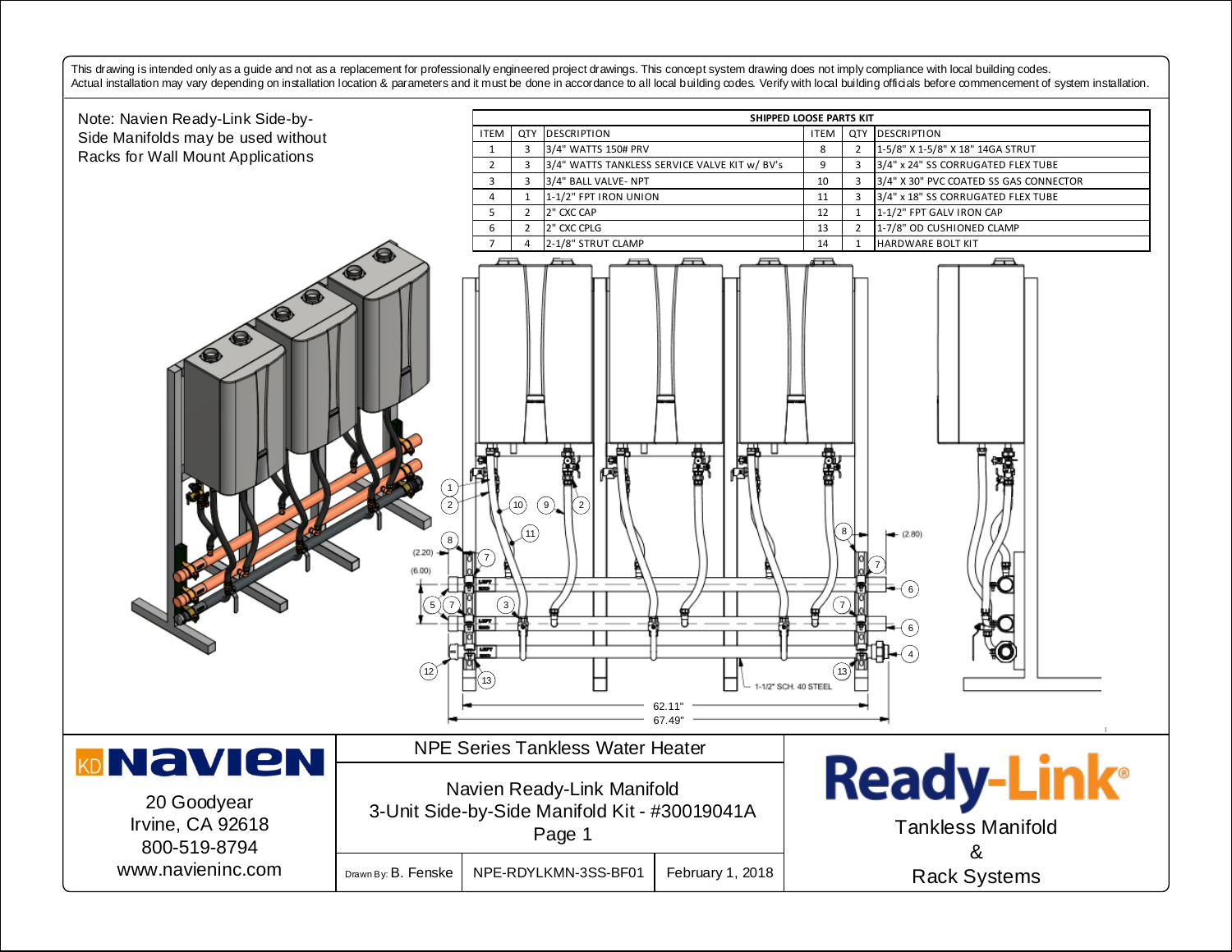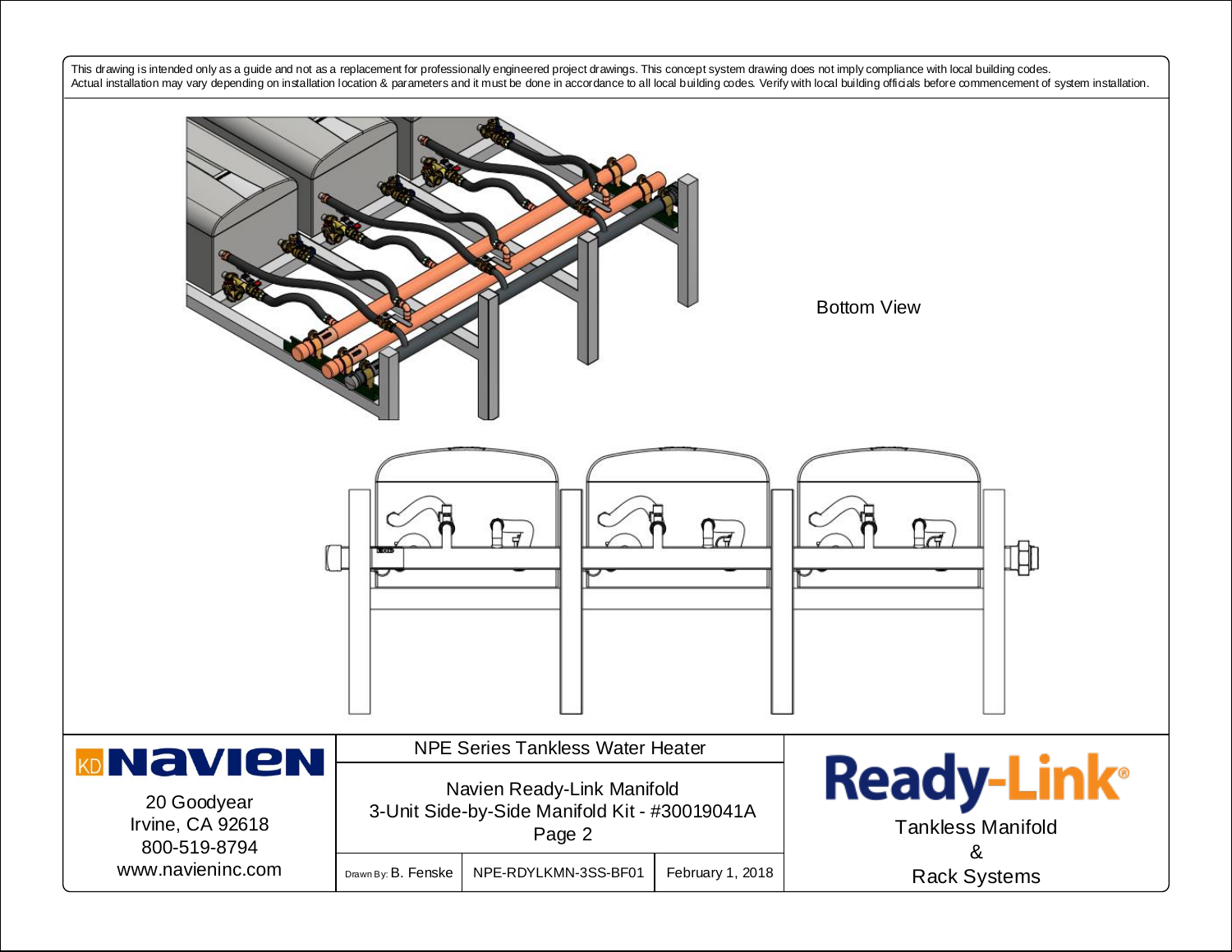This drawing is intended only as a guide and not as a replacement for professionally engineered project drawings. This concept system drawing does not imply compliance with local building codes. Actual installation may vary depending on installation location & parameters and it must be done in accordance to all local building codes. Verify with local building officials before commencement of system installation.